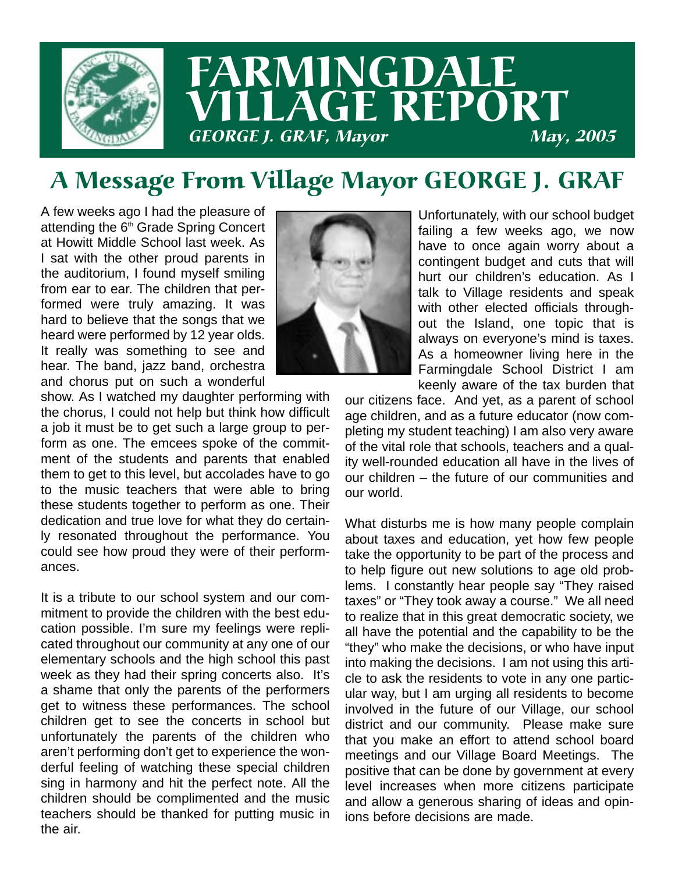

# A Message From Village Mayor GEORGE J. GRAF

A few weeks ago I had the pleasure of attending the 6<sup>th</sup> Grade Spring Concert at Howitt Middle School last week. As I sat with the other proud parents in the auditorium, I found myself smiling from ear to ear. The children that performed were truly amazing. It was hard to believe that the songs that we heard were performed by 12 year olds. It really was something to see and hear. The band, jazz band, orchestra and chorus put on such a wonderful



show. As I watched my daughter performing with the chorus, I could not help but think how difficult a job it must be to get such a large group to perform as one. The emcees spoke of the commitment of the students and parents that enabled them to get to this level, but accolades have to go to the music teachers that were able to bring these students together to perform as one. Their dedication and true love for what they do certainly resonated throughout the performance. You could see how proud they were of their performances.

It is a tribute to our school system and our commitment to provide the children with the best education possible. I'm sure my feelings were replicated throughout our community at any one of our elementary schools and the high school this past week as they had their spring concerts also. It's a shame that only the parents of the performers get to witness these performances. The school children get to see the concerts in school but unfortunately the parents of the children who aren't performing don't get to experience the wonderful feeling of watching these special children sing in harmony and hit the perfect note. All the children should be complimented and the music teachers should be thanked for putting music in the air.

Unfortunately, with our school budget failing a few weeks ago, we now have to once again worry about a contingent budget and cuts that will hurt our children's education. As I talk to Village residents and speak with other elected officials throughout the Island, one topic that is always on everyone's mind is taxes. As a homeowner living here in the Farmingdale School District I am keenly aware of the tax burden that

our citizens face. And yet, as a parent of school age children, and as a future educator (now completing my student teaching) I am also very aware of the vital role that schools, teachers and a quality well-rounded education all have in the lives of our children – the future of our communities and our world.

What disturbs me is how many people complain about taxes and education, yet how few people take the opportunity to be part of the process and to help figure out new solutions to age old problems. I constantly hear people say "They raised taxes" or "They took away a course." We all need to realize that in this great democratic society, we all have the potential and the capability to be the "they" who make the decisions, or who have input into making the decisions. I am not using this article to ask the residents to vote in any one particular way, but I am urging all residents to become involved in the future of our Village, our school district and our community. Please make sure that you make an effort to attend school board meetings and our Village Board Meetings. The positive that can be done by government at every level increases when more citizens participate and allow a generous sharing of ideas and opinions before decisions are made.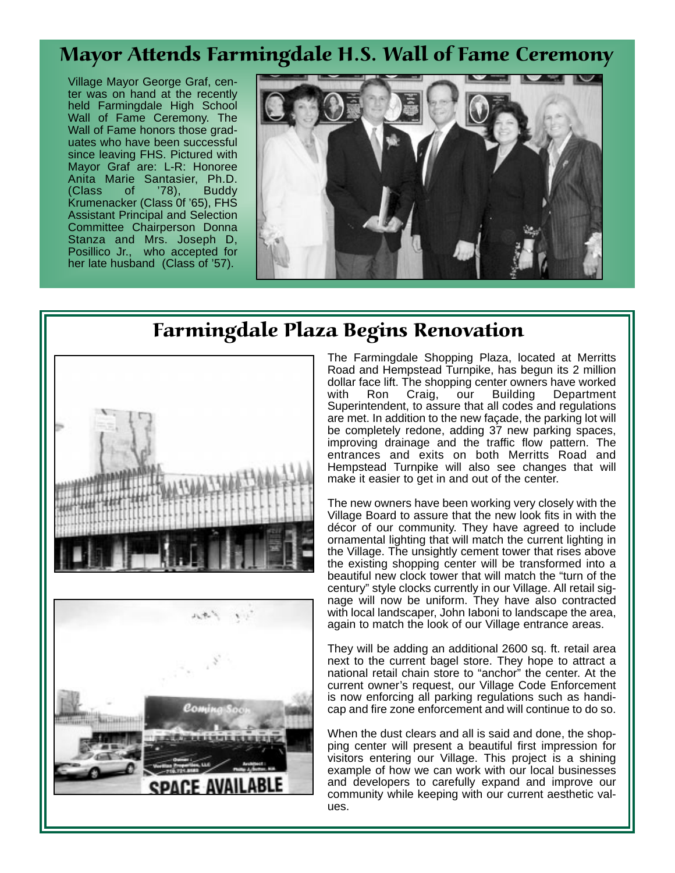## Mayor Attends Farmingdale H.S. Wall of Fame Ceremony

Village Mayor George Graf, center was on hand at the recently held Farmingdale High School Wall of Fame Ceremony. The Wall of Fame honors those graduates who have been successful since leaving FHS. Pictured with Mayor Graf are: L-R: Honoree Anita Marie Santasier, Ph.D. (Class of '78), Buddy Krumenacker (Class 0f '65), FHS Assistant Principal and Selection Committee Chairperson Donna Stanza and Mrs. Joseph D, Posillico Jr., who accepted for her late husband (Class of '57).



### Farmingdale Plaza Begins Renovation





The Farmingdale Shopping Plaza, located at Merritts Road and Hempstead Turnpike, has begun its 2 million dollar face lift. The shopping center owners have worked with Ron Craig, our Building Department Superintendent, to assure that all codes and regulations are met. In addition to the new façade, the parking lot will be completely redone, adding 37 new parking spaces, improving drainage and the traffic flow pattern. The entrances and exits on both Merritts Road and Hempstead Turnpike will also see changes that will make it easier to get in and out of the center.

The new owners have been working very closely with the Village Board to assure that the new look fits in with the décor of our community. They have agreed to include ornamental lighting that will match the current lighting in the Village. The unsightly cement tower that rises above the existing shopping center will be transformed into a beautiful new clock tower that will match the "turn of the century" style clocks currently in our Village. All retail signage will now be uniform. They have also contracted with local landscaper, John Iaboni to landscape the area, again to match the look of our Village entrance areas.

They will be adding an additional 2600 sq. ft. retail area next to the current bagel store. They hope to attract a national retail chain store to "anchor" the center. At the current owner's request, our Village Code Enforcement is now enforcing all parking regulations such as handicap and fire zone enforcement and will continue to do so.

When the dust clears and all is said and done, the shopping center will present a beautiful first impression for visitors entering our Village. This project is a shining example of how we can work with our local businesses and developers to carefully expand and improve our community while keeping with our current aesthetic values.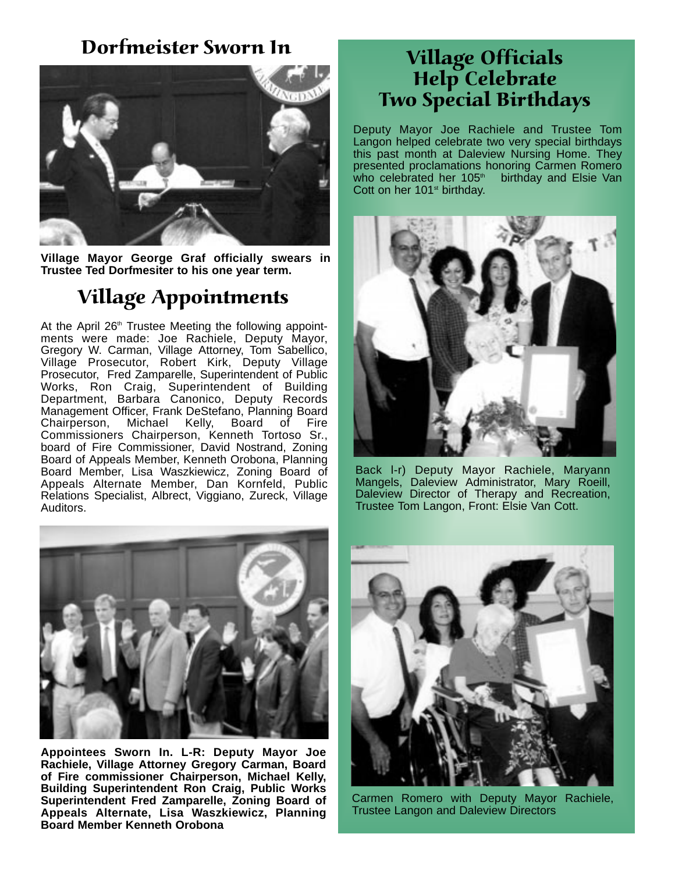#### Dorfmeister Sworn In



**Village Mayor George Graf officially swears in Trustee Ted Dorfmesiter to his one year term.**

# Village Appointments

At the April 26<sup>th</sup> Trustee Meeting the following appointments were made: Joe Rachiele, Deputy Mayor, Gregory W. Carman, Village Attorney, Tom Sabellico, Village Prosecutor, Robert Kirk, Deputy Village Prosecutor, Fred Zamparelle, Superintendent of Public Works, Ron Craig, Superintendent of Building Department, Barbara Canonico, Deputy Records Management Officer, Frank DeStefano, Planning Board Chairperson, Michael Kelly, Board of Fire Commissioners Chairperson, Kenneth Tortoso Sr., board of Fire Commissioner, David Nostrand, Zoning Board of Appeals Member, Kenneth Orobona, Planning Board Member, Lisa Waszkiewicz, Zoning Board of Appeals Alternate Member, Dan Kornfeld, Public Relations Specialist, Albrect, Viggiano, Zureck, Village Auditors.



**Appointees Sworn In. L-R: Deputy Mayor Joe Rachiele, Village Attorney Gregory Carman, Board of Fire commissioner Chairperson, Michael Kelly, Building Superintendent Ron Craig, Public Works Superintendent Fred Zamparelle, Zoning Board of Appeals Alternate, Lisa Waszkiewicz, Planning Board Member Kenneth Orobona**

### Village Officials Help Celebrate Two Special Birthdays

Deputy Mayor Joe Rachiele and Trustee Tom Langon helped celebrate two very special birthdays this past month at Daleview Nursing Home. They presented proclamations honoring Carmen Romero<br>who celebrated her 105<sup>th</sup> birthday and Elsie Van who celebrated her 105<sup>th</sup> Cott on her 101<sup>st</sup> birthday.



Back l-r) Deputy Mayor Rachiele, Maryann Mangels, Daleview Administrator, Mary Roeill, Daleview Director of Therapy and Recreation, Trustee Tom Langon, Front: Elsie Van Cott.



Carmen Romero with Deputy Mayor Rachiele, Trustee Langon and Daleview Directors